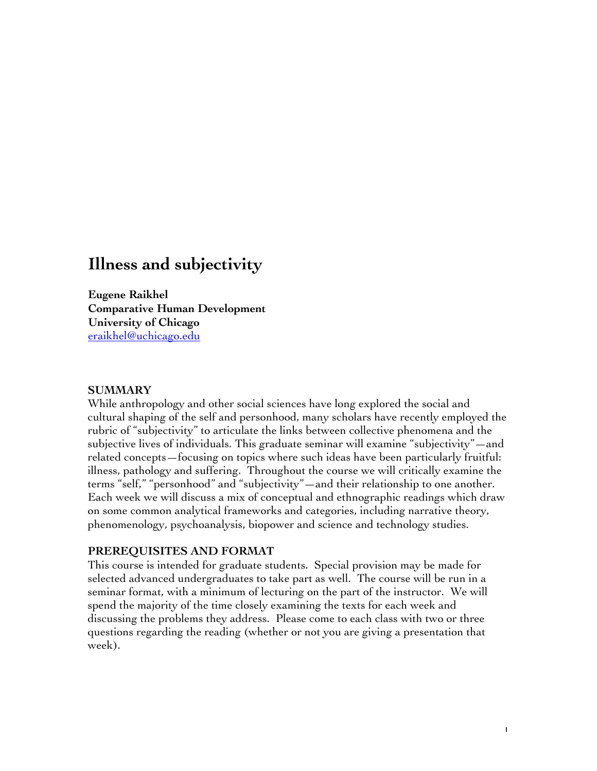# **Illness and subjectivity**

**Eugene Raikhel Comparative Human Development University of Chicago** eraikhel@uchicago.edu

### **SUMMARY**

While anthropology and other social sciences have long explored the social and cultural shaping of the self and personhood, many scholars have recently employed the rubric of "subjectivity" to articulate the links between collective phenomena and the subjective lives of individuals. This graduate seminar will examine "subjectivity"—and related concepts—focusing on topics where such ideas have been particularly fruitful: illness, pathology and suffering. Throughout the course we will critically examine the terms "self," "personhood" and "subjectivity"—and their relationship to one another. Each week we will discuss a mix of conceptual and ethnographic readings which draw on some common analytical frameworks and categories, including narrative theory, phenomenology, psychoanalysis, biopower and science and technology studies.

# **PREREQUISITES AND FORMAT**

This course is intended for graduate students. Special provision may be made for selected advanced undergraduates to take part as well. The course will be run in a seminar format, with a minimum of lecturing on the part of the instructor. We will spend the majority of the time closely examining the texts for each week and discussing the problems they address. Please come to each class with two or three questions regarding the reading (whether or not you are giving a presentation that week).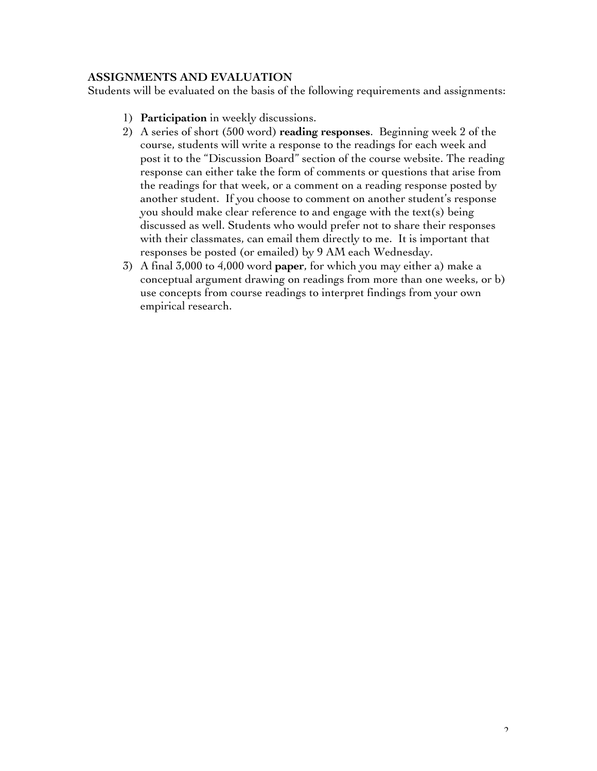# **ASSIGNMENTS AND EVALUATION**

Students will be evaluated on the basis of the following requirements and assignments:

- 1) **Participation** in weekly discussions.
- 2) A series of short (500 word) **reading responses**. Beginning week 2 of the course, students will write a response to the readings for each week and post it to the "Discussion Board" section of the course website. The reading response can either take the form of comments or questions that arise from the readings for that week, or a comment on a reading response posted by another student. If you choose to comment on another student's response you should make clear reference to and engage with the text(s) being discussed as well. Students who would prefer not to share their responses with their classmates, can email them directly to me. It is important that responses be posted (or emailed) by 9 AM each Wednesday.
- 3) A final 3,000 to 4,000 word **paper**, for which you may either a) make a conceptual argument drawing on readings from more than one weeks, or b) use concepts from course readings to interpret findings from your own empirical research.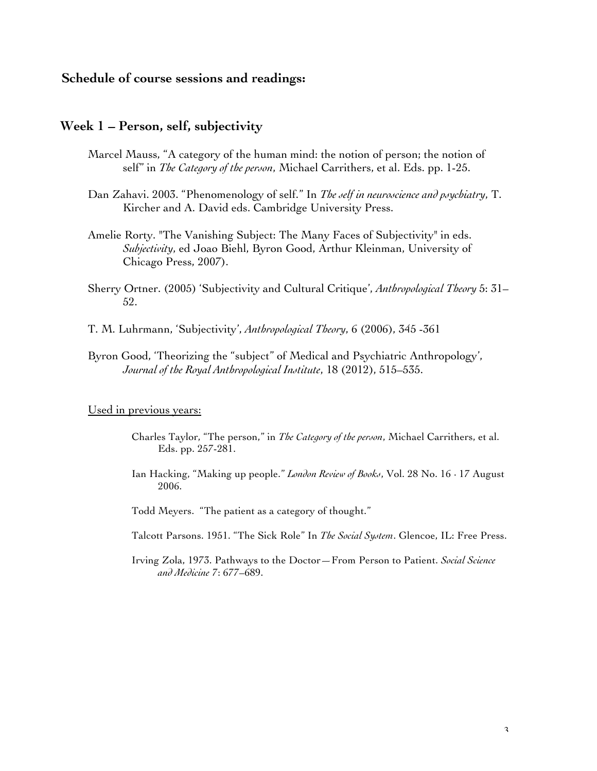# **Schedule of course sessions and readings:**

### **Week 1 – Person, self, subjectivity**

- Marcel Mauss, "A category of the human mind: the notion of person; the notion of self" in *The Category of the person*, Michael Carrithers, et al. Eds. pp. 1-25.
- Dan Zahavi. 2003. "Phenomenology of self." In *The self in neuroscience and psychiatry*, T. Kircher and A. David eds. Cambridge University Press.
- Amelie Rorty. "The Vanishing Subject: The Many Faces of Subjectivity" in eds. *Subjectivity*, ed Joao Biehl, Byron Good, Arthur Kleinman, University of Chicago Press, 2007).
- Sherry Ortner. (2005) 'Subjectivity and Cultural Critique', *Anthropological Theory* 5: 31– 52.
- T. M. Luhrmann, 'Subjectivity', *Anthropological Theory*, 6 (2006), 345 -361
- Byron Good, 'Theorizing the "subject" of Medical and Psychiatric Anthropology', *Journal of the Royal Anthropological Institute*, 18 (2012), 515–535.

#### Used in previous years:

- Charles Taylor, "The person," in *The Category of the person*, Michael Carrithers, et al. Eds. pp. 257-281.
- Ian Hacking, "Making up people." *London Review of Books*, Vol. 28 No. 16 · 17 August 2006.

Todd Meyers. "The patient as a category of thought."

- Talcott Parsons. 1951. "The Sick Role" In *The Social System*. Glencoe, IL: Free Press.
- Irving Zola, 1973. Pathways to the Doctor—From Person to Patient. *Social Science and Medicine* 7: 677–689.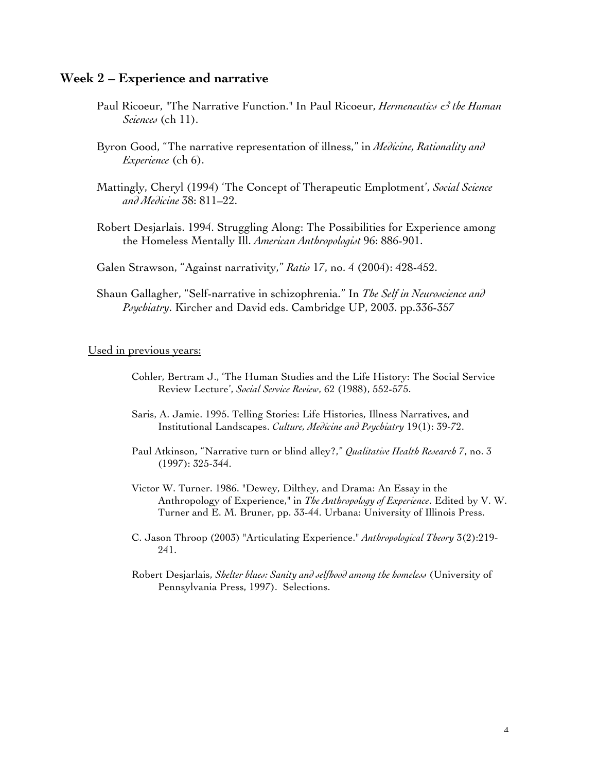### **Week 2 – Experience and narrative**

- Paul Ricoeur, "The Narrative Function." In Paul Ricoeur, *Hermeneutics & the Human Sciences* (ch 11).
- Byron Good, "The narrative representation of illness," in *Medicine, Rationality and Experience* (ch 6).
- Mattingly, Cheryl (1994) 'The Concept of Therapeutic Emplotment', *Social Science and Medicine* 38: 811–22.
- Robert Desjarlais. 1994. Struggling Along: The Possibilities for Experience among the Homeless Mentally Ill. *American Anthropologist* 96: 886-901.
- Galen Strawson, "Against narrativity," *Ratio* 17, no. 4 (2004): 428-452.
- Shaun Gallagher, "Self-narrative in schizophrenia." In *The Self in Neuroscience and Psychiatry*. Kircher and David eds. Cambridge UP, 2003. pp.336-357

- Cohler, Bertram J., 'The Human Studies and the Life History: The Social Service Review Lecture', *Social Service Review*, 62 (1988), 552-575.
- Saris, A. Jamie. 1995. Telling Stories: Life Histories, Illness Narratives, and Institutional Landscapes. *Culture, Medicine and Psychiatry* 19(1): 39-72.
- Paul Atkinson, "Narrative turn or blind alley?," *Qualitative Health Research* 7, no. 3 (1997): 325-344.
- Victor W. Turner. 1986. "Dewey, Dilthey, and Drama: An Essay in the Anthropology of Experience," in *The Anthropology of Experience*. Edited by V. W. Turner and E. M. Bruner, pp. 33-44. Urbana: University of Illinois Press.
- C. Jason Throop (2003) "Articulating Experience." *Anthropological Theory* 3(2):219- 241.
- Robert Desjarlais, *Shelter blues: Sanity and selfhood among the homeless* (University of Pennsylvania Press, 1997). Selections.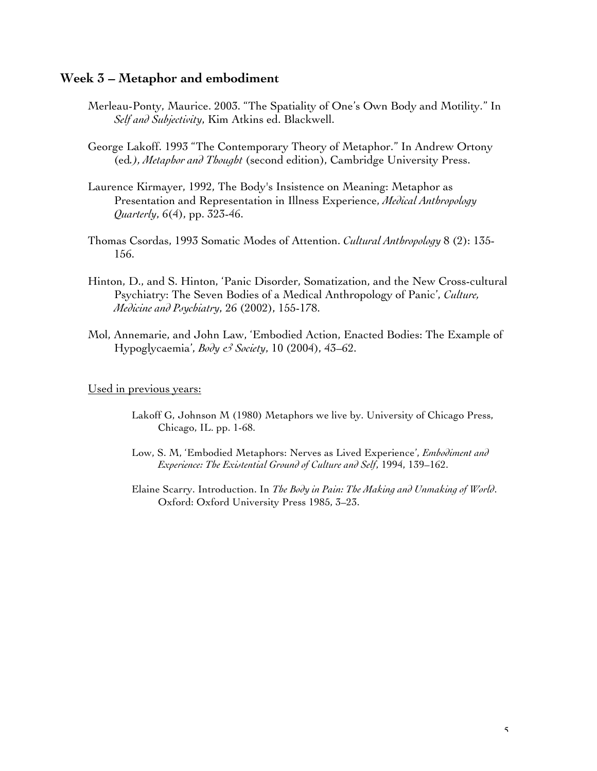# **Week 3 – Metaphor and embodiment**

- Merleau-Ponty, Maurice. 2003. "The Spatiality of One's Own Body and Motility." In *Self and Subjectivity*, Kim Atkins ed. Blackwell.
- George Lakoff. 1993 "The Contemporary Theory of Metaphor." In Andrew Ortony (ed*.), Metaphor and Thought* (second edition), Cambridge University Press.
- Laurence Kirmayer, 1992, The Body's Insistence on Meaning: Metaphor as Presentation and Representation in Illness Experience, *Medical Anthropology Quarterly*, 6(4), pp. 323-46.
- Thomas Csordas, 1993 Somatic Modes of Attention. *Cultural Anthropology* 8 (2): 135- 156.
- Hinton, D., and S. Hinton, 'Panic Disorder, Somatization, and the New Cross-cultural Psychiatry: The Seven Bodies of a Medical Anthropology of Panic', *Culture, Medicine and Psychiatry*, 26 (2002), 155-178.
- Mol, Annemarie, and John Law, 'Embodied Action, Enacted Bodies: The Example of Hypoglycaemia', *Body & Society*, 10 (2004), 43–62.

- Lakoff G, Johnson M (1980) Metaphors we live by. University of Chicago Press, Chicago, IL. pp. 1-68.
- Low, S. M, 'Embodied Metaphors: Nerves as Lived Experience', *Embodiment and Experience: The Existential Ground of Culture and Self*, 1994, 139–162.
- Elaine Scarry. Introduction. In *The Body in Pain: The Making and Unmaking of World*. Oxford: Oxford University Press 1985, 3–23.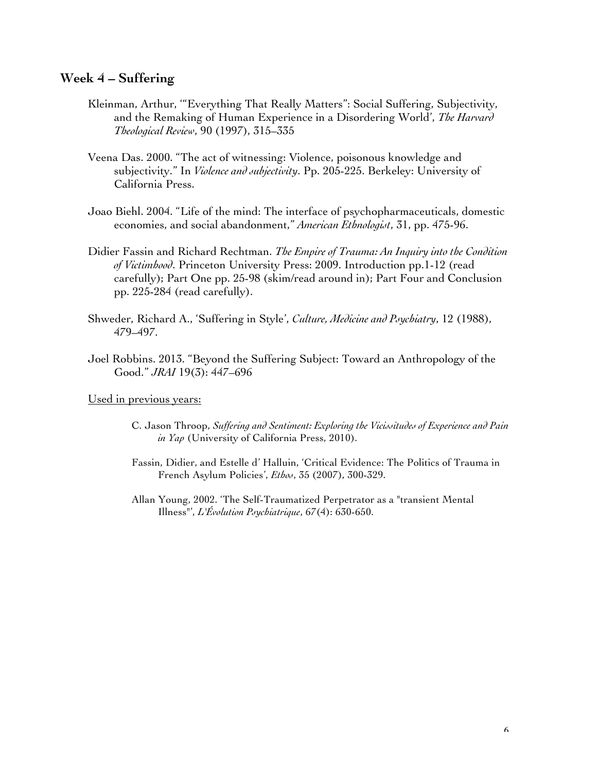# **Week 4 – Suffering**

- Kleinman, Arthur, '"Everything That Really Matters": Social Suffering, Subjectivity, and the Remaking of Human Experience in a Disordering World', *The Harvard Theological Review*, 90 (1997), 315–335
- Veena Das. 2000. "The act of witnessing: Violence, poisonous knowledge and subjectivity." In *Violence and subjectivity*. Pp. 205-225. Berkeley: University of California Press.
- Joao Biehl. 2004. "Life of the mind: The interface of psychopharmaceuticals, domestic economies, and social abandonment," *American Ethnologist*, 31, pp. 475-96.
- Didier Fassin and Richard Rechtman. *The Empire of Trauma: An Inquiry into the Condition of Victimhood*. Princeton University Press: 2009. Introduction pp.1-12 (read carefully); Part One pp. 25-98 (skim/read around in); Part Four and Conclusion pp. 225-284 (read carefully).
- Shweder, Richard A., 'Suffering in Style', *Culture, Medicine and Psychiatry*, 12 (1988), 479–497.
- Joel Robbins. 2013. "Beyond the Suffering Subject: Toward an Anthropology of the Good." *JRAI* 19(3): 447–696

- C. Jason Throop, *Suffering and Sentiment: Exploring the Vicissitudes of Experience and Pain in Yap* (University of California Press, 2010).
- Fassin, Didier, and Estelle d' Halluin, 'Critical Evidence: The Politics of Trauma in French Asylum Policies', *Ethos*, 35 (2007), 300-329.
- Allan Young, 2002. 'The Self-Traumatized Perpetrator as a "transient Mental Illness"', *L'Évolution Psychiatrique*, 67(4): 630-650.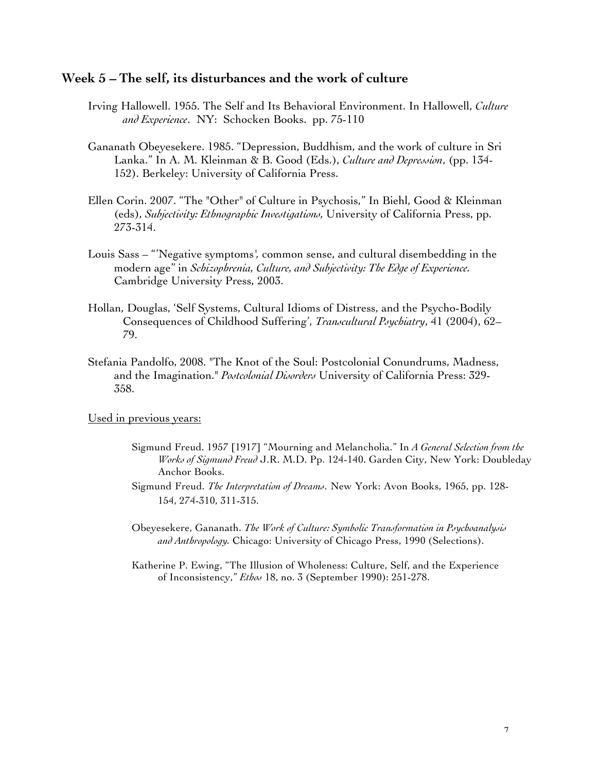### **Week 5 – The self, its disturbances and the work of culture**

- Irving Hallowell. 1955. The Self and Its Behavioral Environment. In Hallowell, *Culture and Experience*. NY: Schocken Books. pp. 75-110
- Gananath Obeyesekere. 1985. "Depression, Buddhism, and the work of culture in Sri Lanka." In A. M. Kleinman & B. Good (Eds.), *Culture and Depression*, (pp. 134- 152). Berkeley: University of California Press.
- Ellen Corin. 2007. "The "Other" of Culture in Psychosis," In Biehl, Good & Kleinman (eds), *Subjectivity: Ethnographic Investigations,* University of California Press, pp. 273-314.
- Louis Sass "'Negative symptoms*',* common sense, and cultural disembedding in the modern age" in *Schizophrenia, Culture, and Subjectivity: The Edge of Experience.*  Cambridge University Press, 2003.
- Hollan, Douglas, 'Self Systems, Cultural Idioms of Distress, and the Psycho-Bodily Consequences of Childhood Suffering', *Transcultural Psychiatry*, 41 (2004), 62– 79.
- Stefania Pandolfo, 2008. "The Knot of the Soul: Postcolonial Conundrums, Madness, and the Imagination." *Postcolonial Disorders* University of California Press: 329- 358.

- Sigmund Freud. 1957 [1917] "Mourning and Melancholia." In *A General Selection from the Works of Sigmund Freud* J.R. M.D. Pp. 124-140. Garden City, New York: Doubleday Anchor Books.
- Sigmund Freud. *The Interpretation of Dreams*. New York: Avon Books, 1965, pp. 128- 154, 274-310, 311-315.
- Obeyesekere, Gananath. *The Work of Culture: Symbolic Transformation in Psychoanalysis and Anthropology.* Chicago: University of Chicago Press, 1990 (Selections).
- Katherine P. Ewing, "The Illusion of Wholeness: Culture, Self, and the Experience of Inconsistency," *Ethos* 18, no. 3 (September 1990): 251-278.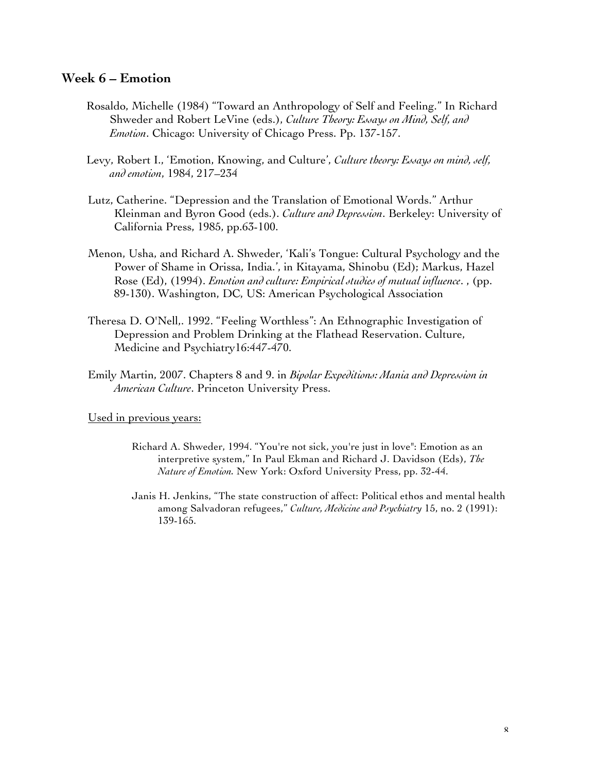# **Week 6 – Emotion**

- Rosaldo, Michelle (1984) "Toward an Anthropology of Self and Feeling." In Richard Shweder and Robert LeVine (eds.), *Culture Theory: Essays on Mind, Self, and Emotion*. Chicago: University of Chicago Press. Pp. 137-157.
- Levy, Robert I., 'Emotion, Knowing, and Culture', *Culture theory: Essays on mind, self, and emotion*, 1984, 217–234
- Lutz, Catherine. "Depression and the Translation of Emotional Words." Arthur Kleinman and Byron Good (eds.). *Culture and Depression*. Berkeley: University of California Press, 1985, pp.63-100.
- Menon, Usha, and Richard A. Shweder, 'Kali's Tongue: Cultural Psychology and the Power of Shame in Orissa, India.', in Kitayama, Shinobu (Ed); Markus, Hazel Rose (Ed), (1994). *Emotion and culture: Empirical studies of mutual influence*. , (pp. 89-130). Washington, DC, US: American Psychological Association
- Theresa D. O'Nell,. 1992. "Feeling Worthless": An Ethnographic Investigation of Depression and Problem Drinking at the Flathead Reservation. Culture, Medicine and Psychiatry16:447-470.
- Emily Martin, 2007. Chapters 8 and 9. in *Bipolar Expeditions: Mania and Depression in American Culture*. Princeton University Press.

- Richard A. Shweder, 1994. "You're not sick, you're just in love": Emotion as an interpretive system," In Paul Ekman and Richard J. Davidson (Eds), *The Nature of Emotion.* New York: Oxford University Press, pp. 32-44.
- Janis H. Jenkins, "The state construction of affect: Political ethos and mental health among Salvadoran refugees," *Culture, Medicine and Psychiatry* 15, no. 2 (1991): 139-165.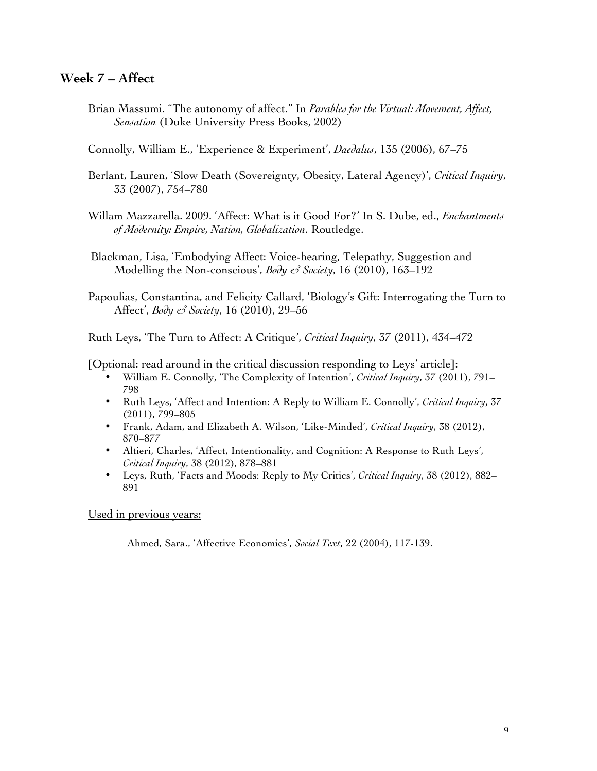# **Week 7 – Affect**

- Brian Massumi. "The autonomy of affect." In *Parables for the Virtual: Movement, Affect, Sensation* (Duke University Press Books, 2002)
- Connolly, William E., 'Experience & Experiment', *Daedalus*, 135 (2006), 67–75
- Berlant, Lauren, 'Slow Death (Sovereignty, Obesity, Lateral Agency)', *Critical Inquiry*, 33 (2007), 754–780
- Willam Mazzarella. 2009. 'Affect: What is it Good For?' In S. Dube, ed., *Enchantments of Modernity: Empire, Nation, Globalization*. Routledge.
- Blackman, Lisa, 'Embodying Affect: Voice-hearing, Telepathy, Suggestion and Modelling the Non-conscious', *Body & Society*, 16 (2010), 163–192
- Papoulias, Constantina, and Felicity Callard, 'Biology's Gift: Interrogating the Turn to Affect', *Body & Society*, 16 (2010), 29–56

Ruth Leys, 'The Turn to Affect: A Critique', *Critical Inquiry*, 37 (2011), 434–472

[Optional: read around in the critical discussion responding to Leys' article]:

- William E. Connolly, 'The Complexity of Intention', *Critical Inquiry*, 37 (2011), 791– 798
- Ruth Leys, 'Affect and Intention: A Reply to William E. Connolly', *Critical Inquiry*, 37 (2011), 799–805
- Frank, Adam, and Elizabeth A. Wilson, 'Like-Minded', *Critical Inquiry*, 38 (2012), 870–877
- Altieri, Charles, 'Affect, Intentionality, and Cognition: A Response to Ruth Leys', *Critical Inquiry*, 38 (2012), 878–881
- Leys, Ruth, 'Facts and Moods: Reply to My Critics', *Critical Inquiry*, 38 (2012), 882– 891

### Used in previous years:

Ahmed, Sara., 'Affective Economies', *Social Text*, 22 (2004), 117-139.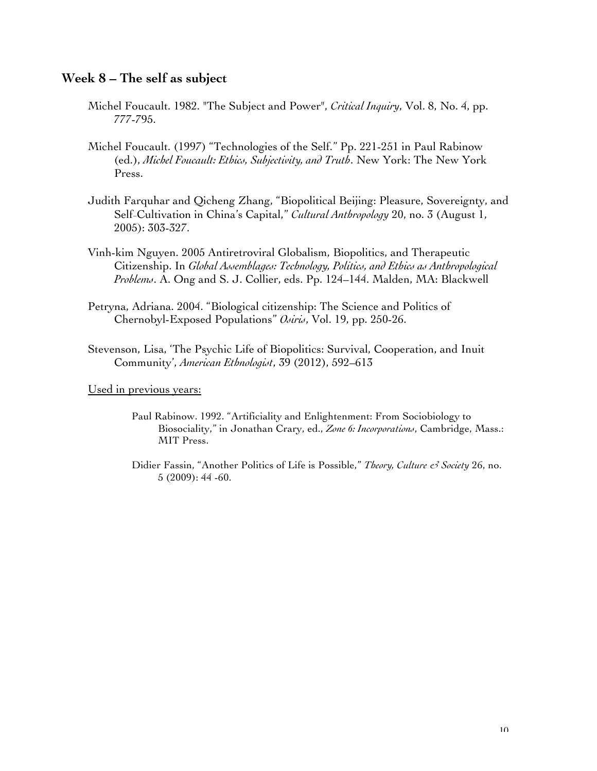# **Week 8 – The self as subject**

- Michel Foucault. 1982. "The Subject and Power", *Critical Inquiry*, Vol. 8, No. 4, pp. 777-795.
- Michel Foucault. (1997) "Technologies of the Self." Pp. 221-251 in Paul Rabinow (ed.), *Michel Foucault: Ethics, Subjectivity, and Truth*. New York: The New York Press.
- Judith Farquhar and Qicheng Zhang, "Biopolitical Beijing: Pleasure, Sovereignty, and Self-Cultivation in China's Capital," *Cultural Anthropology* 20, no. 3 (August 1, 2005): 303-327.
- Vinh-kim Nguyen. 2005 Antiretroviral Globalism, Biopolitics, and Therapeutic Citizenship. In *Global Assemblages: Technology, Politics, and Ethics as Anthropological Problems*. A. Ong and S. J. Collier, eds. Pp. 124–144. Malden, MA: Blackwell
- Petryna, Adriana. 2004. "Biological citizenship: The Science and Politics of Chernobyl-Exposed Populations" *Osiris*, Vol. 19, pp. 250-26.
- Stevenson, Lisa, 'The Psychic Life of Biopolitics: Survival, Cooperation, and Inuit Community', *American Ethnologist*, 39 (2012), 592–613

- Paul Rabinow. 1992. "Artificiality and Enlightenment: From Sociobiology to Biosociality," in Jonathan Crary, ed., *Zone 6: Incorporations*, Cambridge, Mass.: MIT Press.
- Didier Fassin, "Another Politics of Life is Possible," *Theory, Culture & Society* 26, no. 5 (2009): 44 -60.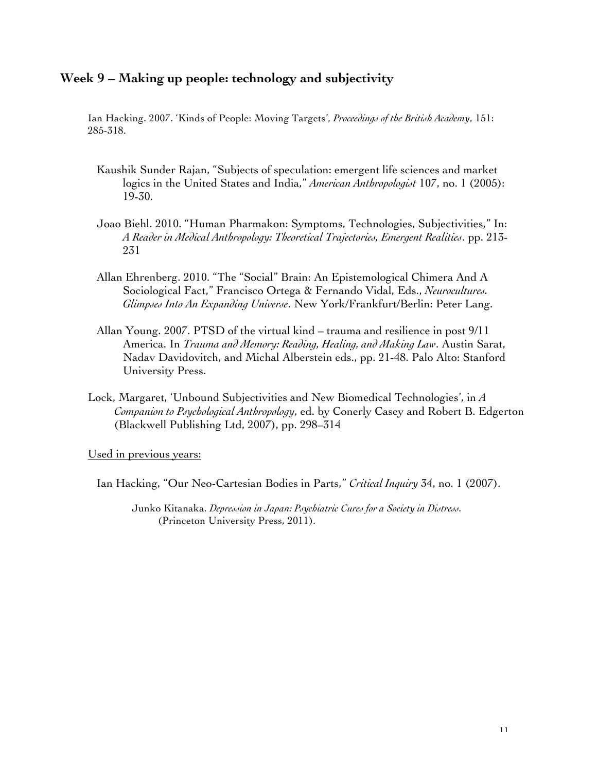# **Week 9 – Making up people: technology and subjectivity**

Ian Hacking. 2007. 'Kinds of People: Moving Targets', *Proceedings of the British Academy*, 151: 285-318.

- Kaushik Sunder Rajan, "Subjects of speculation: emergent life sciences and market logics in the United States and India," *American Anthropologist* 107, no. 1 (2005): 19-30.
- Joao Biehl. 2010. "Human Pharmakon: Symptoms, Technologies, Subjectivities," In: *A Reader in Medical Anthropology: Theoretical Trajectories, Emergent Realities*. pp. 213- 231
- Allan Ehrenberg. 2010. "The "Social" Brain: An Epistemological Chimera And A Sociological Fact," Francisco Ortega & Fernando Vidal, Eds., *Neurocultures. Glimpses Into An Expanding Universe*. New York/Frankfurt/Berlin: Peter Lang.
- Allan Young. 2007. PTSD of the virtual kind trauma and resilience in post 9/11 America. In *Trauma and Memory: Reading, Healing, and Making Law*. Austin Sarat, Nadav Davidovitch, and Michal Alberstein eds., pp. 21-48. Palo Alto: Stanford University Press.
- Lock, Margaret, 'Unbound Subjectivities and New Biomedical Technologies', in *A Companion to Psychological Anthropology*, ed. by Conerly Casey and Robert B. Edgerton (Blackwell Publishing Ltd, 2007), pp. 298–314

Used in previous years:

Ian Hacking, "Our Neo-Cartesian Bodies in Parts," *Critical Inquiry* 34, no. 1 (2007).

Junko Kitanaka. *Depression in Japan: Psychiatric Cures for a Society in Distress.* (Princeton University Press, 2011).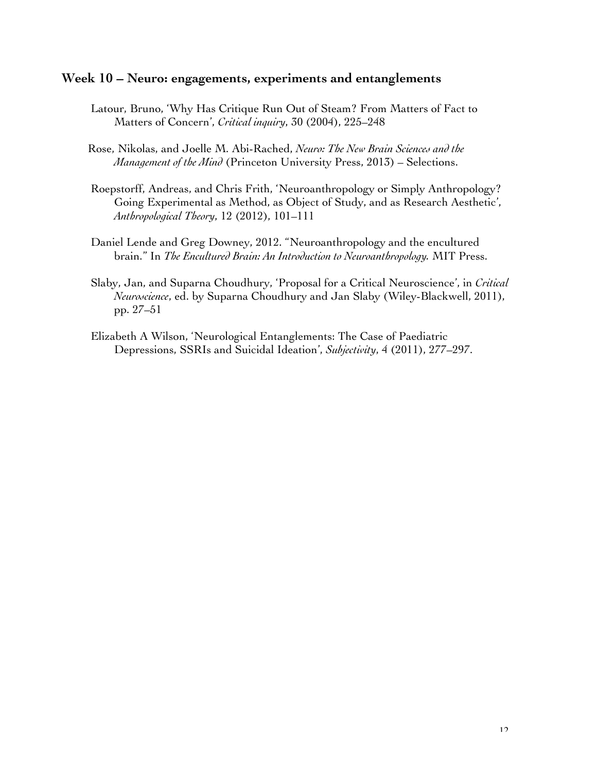# **Week 10 – Neuro: engagements, experiments and entanglements**

- Latour, Bruno, 'Why Has Critique Run Out of Steam? From Matters of Fact to Matters of Concern', *Critical inquiry*, 30 (2004), 225–248
- Rose, Nikolas, and Joelle M. Abi-Rached, *Neuro: The New Brain Sciences and the Management of the Mind* (Princeton University Press, 2013) – Selections.
- Roepstorff, Andreas, and Chris Frith, 'Neuroanthropology or Simply Anthropology? Going Experimental as Method, as Object of Study, and as Research Aesthetic', *Anthropological Theory*, 12 (2012), 101–111
- Daniel Lende and Greg Downey, 2012. "Neuroanthropology and the encultured brain." In *The Encultured Brain: An Introduction to Neuroanthropology.* MIT Press.
- Slaby, Jan, and Suparna Choudhury, 'Proposal for a Critical Neuroscience', in *Critical Neuroscience*, ed. by Suparna Choudhury and Jan Slaby (Wiley-Blackwell, 2011), pp. 27–51
- Elizabeth A Wilson, 'Neurological Entanglements: The Case of Paediatric Depressions, SSRIs and Suicidal Ideation', *Subjectivity*, 4 (2011), 277–297.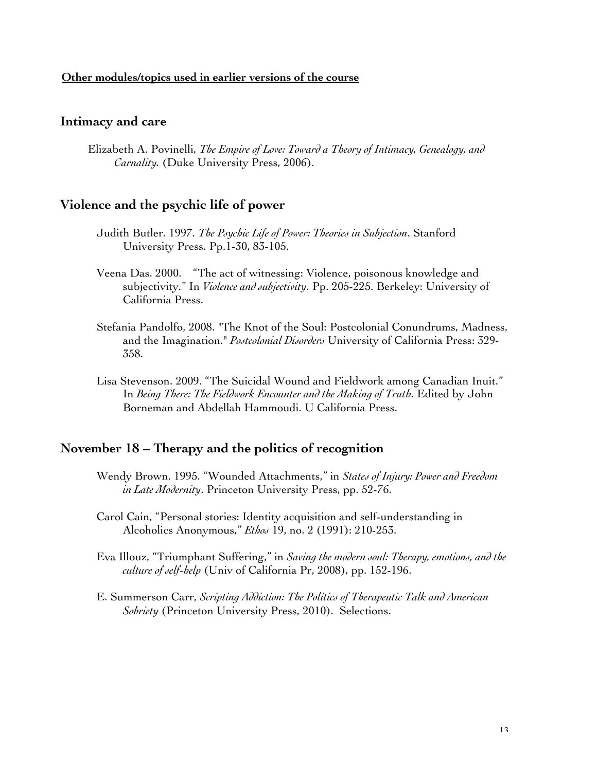### **Other modules/topics used in earlier versions of the course**

### **Intimacy and care**

Elizabeth A. Povinelli, *The Empire of Love: Toward a Theory of Intimacy, Genealogy, and Carnality.* (Duke University Press, 2006).

# **Violence and the psychic life of power**

- Judith Butler. 1997. *The Psychic Life of Power: Theories in Subjection*. Stanford University Press. Pp.1-30, 83-105.
- Veena Das. 2000. "The act of witnessing: Violence, poisonous knowledge and subjectivity." In *Violence and subjectivity*. Pp. 205-225. Berkeley: University of California Press.
- Stefania Pandolfo, 2008. "The Knot of the Soul: Postcolonial Conundrums, Madness, and the Imagination." *Postcolonial Disorders* University of California Press: 329- 358.
- Lisa Stevenson. 2009. "The Suicidal Wound and Fieldwork among Canadian Inuit." In *Being There: The Fieldwork Encounter and the Making of Truth*. Edited by John Borneman and Abdellah Hammoudi. U California Press.

### **November 18 – Therapy and the politics of recognition**

- Wendy Brown. 1995. "Wounded Attachments," in *States of Injury: Power and Freedom in Late Modernity*. Princeton University Press, pp. 52-76.
- Carol Cain, "Personal stories: Identity acquisition and self-understanding in Alcoholics Anonymous," *Ethos* 19, no. 2 (1991): 210-253.
- Eva Illouz, "Triumphant Suffering," in *Saving the modern soul: Therapy, emotions, and the culture of self-help* (Univ of California Pr, 2008), pp. 152-196.
- E. Summerson Carr, *Scripting Addiction: The Politics of Therapeutic Talk and American Sobriety* (Princeton University Press, 2010). Selections.